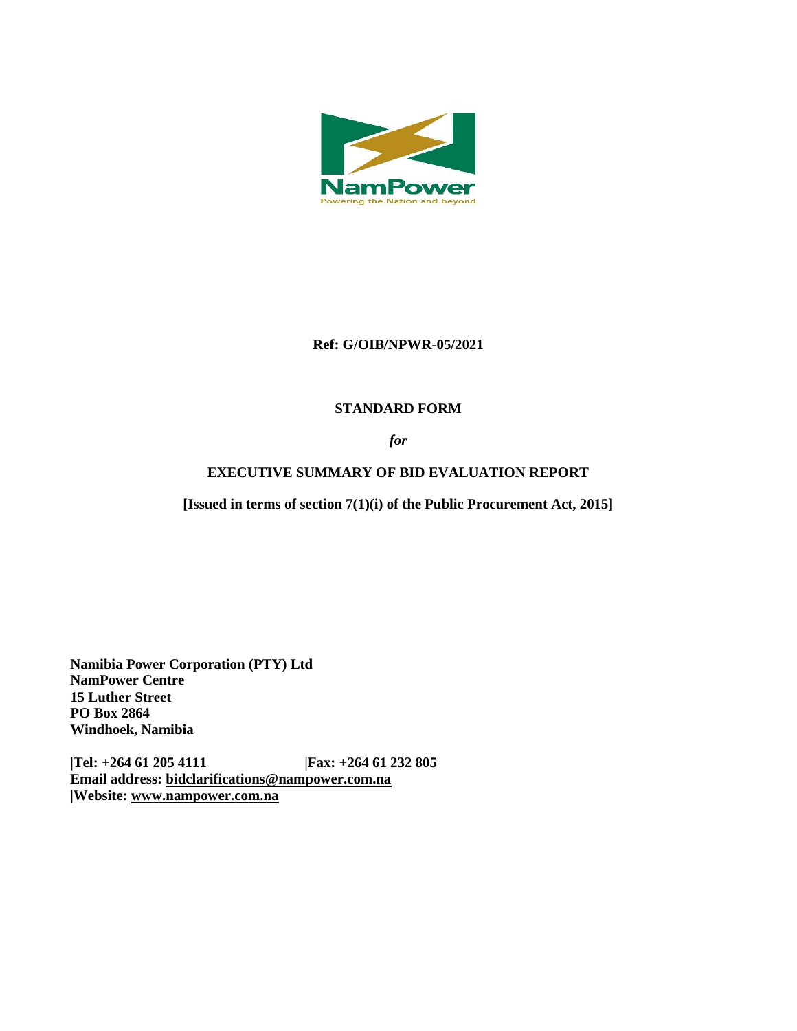

### **Ref: G/OIB/NPWR-05/2021**

## **STANDARD FORM**

*for*

# **EXECUTIVE SUMMARY OF BID EVALUATION REPORT**

**[Issued in terms of section 7(1)(i) of the Public Procurement Act, 2015]** 

**Namibia Power Corporation (PTY) Ltd NamPower Centre 15 Luther Street PO Box 2864 Windhoek, Namibia**

**|Tel: +264 61 205 4111 |Fax: +264 61 232 805 Email address: [bidclarifications@nampower.com.na](mailto:bidclarifications@nampower.com.na) |Website: [www.n](http://www./)ampower.com.na**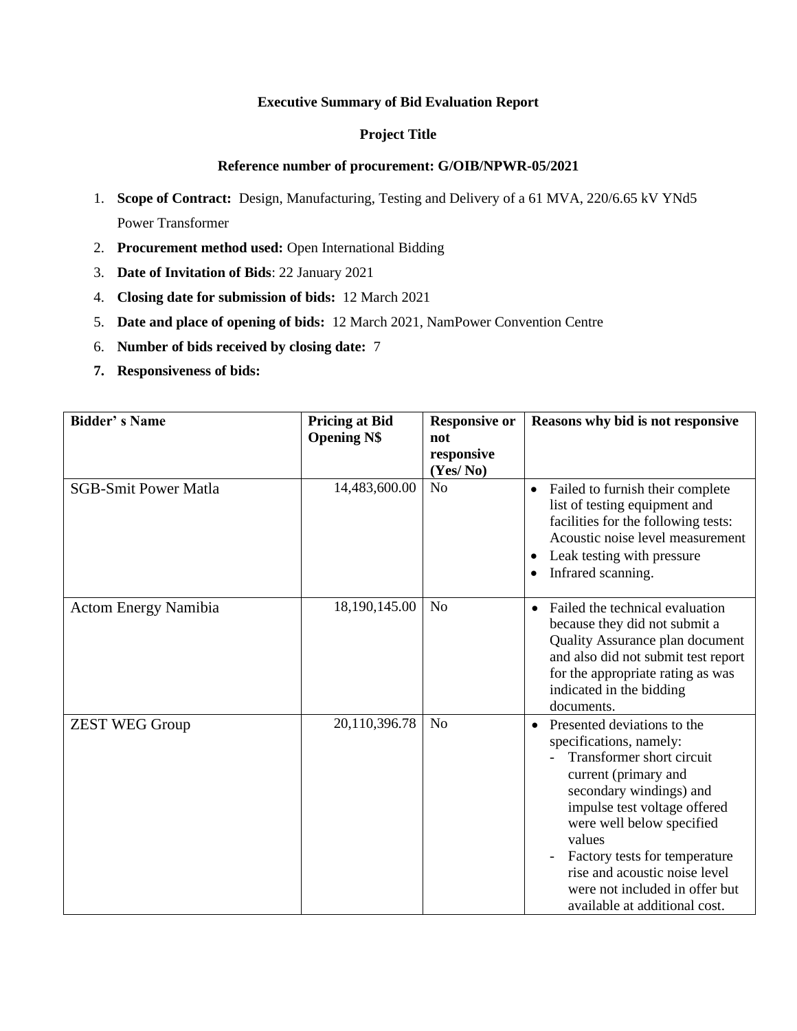#### **Executive Summary of Bid Evaluation Report**

#### **Project Title**

#### **Reference number of procurement: G/OIB/NPWR-05/2021**

- 1. **Scope of Contract:** Design, Manufacturing, Testing and Delivery of a 61 MVA, 220/6.65 kV YNd5 Power Transformer
- 2. **Procurement method used:** Open International Bidding
- 3. **Date of Invitation of Bids**: 22 January 2021
- 4. **Closing date for submission of bids:** 12 March 2021
- 5. **Date and place of opening of bids:** 12 March 2021, NamPower Convention Centre
- 6. **Number of bids received by closing date:** 7
- **7. Responsiveness of bids:**

| <b>Bidder's Name</b>        | <b>Pricing at Bid</b><br><b>Opening N\$</b> | <b>Responsive or</b><br>not<br>responsive | Reasons why bid is not responsive                                                                                                                                                                                                                                                                                                                               |  |
|-----------------------------|---------------------------------------------|-------------------------------------------|-----------------------------------------------------------------------------------------------------------------------------------------------------------------------------------------------------------------------------------------------------------------------------------------------------------------------------------------------------------------|--|
|                             |                                             | (Yes/No)                                  |                                                                                                                                                                                                                                                                                                                                                                 |  |
| <b>SGB-Smit Power Matla</b> | 14,483,600.00                               | N <sub>o</sub>                            | Failed to furnish their complete<br>$\bullet$<br>list of testing equipment and<br>facilities for the following tests:<br>Acoustic noise level measurement<br>Leak testing with pressure<br>$\bullet$<br>Infrared scanning.<br>$\bullet$                                                                                                                         |  |
| <b>Actom Energy Namibia</b> | 18,190,145.00                               | N <sub>o</sub>                            | Failed the technical evaluation<br>because they did not submit a<br>Quality Assurance plan document<br>and also did not submit test report<br>for the appropriate rating as was<br>indicated in the bidding<br>documents.                                                                                                                                       |  |
| <b>ZEST WEG Group</b>       | 20,110,396.78                               | N <sub>o</sub>                            | Presented deviations to the<br>$\bullet$<br>specifications, namely:<br>Transformer short circuit<br>current (primary and<br>secondary windings) and<br>impulse test voltage offered<br>were well below specified<br>values<br>Factory tests for temperature<br>rise and acoustic noise level<br>were not included in offer but<br>available at additional cost. |  |